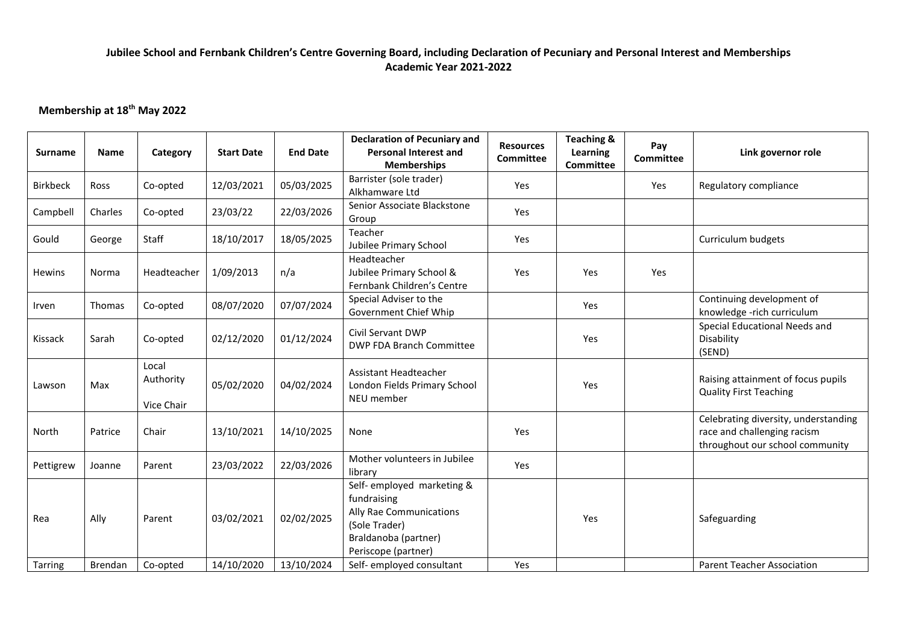### **Jubilee School and Fernbank Children's Centre Governing Board, including Declaration of Pecuniary and Personal Interest and Memberships Academic Year 2021-2022**

# **Membership at 18th May 2022**

| <b>Surname</b>  | <b>Name</b>   | Category                         | <b>Start Date</b> | <b>End Date</b> | <b>Declaration of Pecuniary and</b><br><b>Personal Interest and</b><br><b>Memberships</b>                                            | <b>Resources</b><br><b>Committee</b> | <b>Teaching &amp;</b><br>Learning<br><b>Committee</b> | Pay<br>Committee | Link governor role                                                                                     |
|-----------------|---------------|----------------------------------|-------------------|-----------------|--------------------------------------------------------------------------------------------------------------------------------------|--------------------------------------|-------------------------------------------------------|------------------|--------------------------------------------------------------------------------------------------------|
| <b>Birkbeck</b> | Ross          | Co-opted                         | 12/03/2021        | 05/03/2025      | Barrister (sole trader)<br>Alkhamware Ltd                                                                                            | Yes                                  |                                                       | Yes              | Regulatory compliance                                                                                  |
| Campbell        | Charles       | Co-opted                         | 23/03/22          | 22/03/2026      | Senior Associate Blackstone<br>Group                                                                                                 | Yes                                  |                                                       |                  |                                                                                                        |
| Gould           | George        | Staff                            | 18/10/2017        | 18/05/2025      | Teacher<br>Jubilee Primary School                                                                                                    | Yes                                  |                                                       |                  | Curriculum budgets                                                                                     |
| <b>Hewins</b>   | Norma         | Headteacher                      | 1/09/2013         | n/a             | Headteacher<br>Jubilee Primary School &<br>Fernbank Children's Centre                                                                | Yes                                  | Yes                                                   | Yes              |                                                                                                        |
| Irven           | <b>Thomas</b> | Co-opted                         | 08/07/2020        | 07/07/2024      | Special Adviser to the<br>Government Chief Whip                                                                                      |                                      | Yes                                                   |                  | Continuing development of<br>knowledge -rich curriculum                                                |
| Kissack         | Sarah         | Co-opted                         | 02/12/2020        | 01/12/2024      | Civil Servant DWP<br>DWP FDA Branch Committee                                                                                        |                                      | Yes                                                   |                  | Special Educational Needs and<br>Disability<br>(SEND)                                                  |
| Lawson          | Max           | Local<br>Authority<br>Vice Chair | 05/02/2020        | 04/02/2024      | Assistant Headteacher<br>London Fields Primary School<br>NEU member                                                                  |                                      | Yes                                                   |                  | Raising attainment of focus pupils<br><b>Quality First Teaching</b>                                    |
| North           | Patrice       | Chair                            | 13/10/2021        | 14/10/2025      | None                                                                                                                                 | Yes                                  |                                                       |                  | Celebrating diversity, understanding<br>race and challenging racism<br>throughout our school community |
| Pettigrew       | Joanne        | Parent                           | 23/03/2022        | 22/03/2026      | Mother volunteers in Jubilee<br>library                                                                                              | Yes                                  |                                                       |                  |                                                                                                        |
| Rea             | Ally          | Parent                           | 03/02/2021        | 02/02/2025      | Self- employed marketing &<br>fundraising<br>Ally Rae Communications<br>(Sole Trader)<br>Braldanoba (partner)<br>Periscope (partner) |                                      | Yes                                                   |                  | Safeguarding                                                                                           |
| <b>Tarring</b>  | Brendan       | Co-opted                         | 14/10/2020        | 13/10/2024      | Self- employed consultant                                                                                                            | Yes                                  |                                                       |                  | <b>Parent Teacher Association</b>                                                                      |